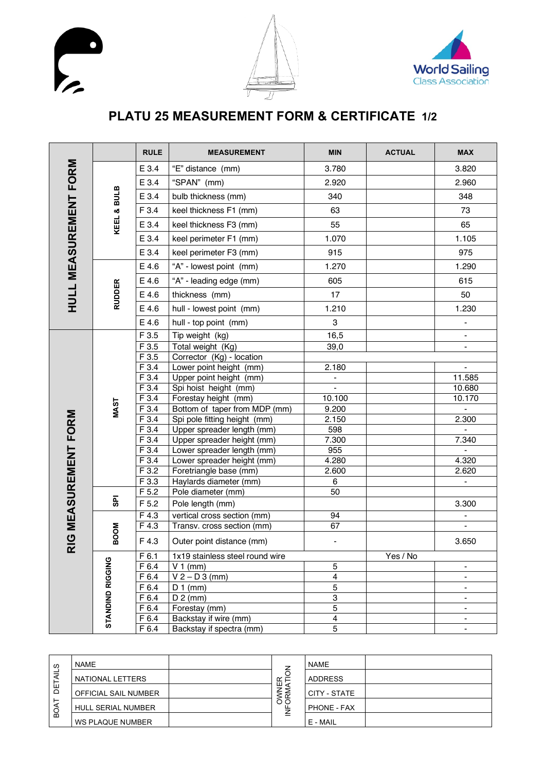





## **PLATU 25 MEASUREMENT FORM & CERTIFICATE 1/2**

|                         |                  | <b>RULE</b> | <b>MEASUREMENT</b>              | <b>MIN</b>              | <b>ACTUAL</b> | <b>MAX</b>     |
|-------------------------|------------------|-------------|---------------------------------|-------------------------|---------------|----------------|
| FORM                    |                  | E 3.4       | "E" distance (mm)               | 3.780                   |               | 3.820          |
|                         |                  | E 3.4       | "SPAN" (mm)                     | 2.920                   |               | 2.960          |
|                         |                  | E 3.4       | bulb thickness (mm)             | 340                     |               | 348            |
|                         | KEEL & BULB      | F 3.4       | keel thickness F1 (mm)          | 63                      |               | 73             |
|                         |                  | E 3.4       | keel thickness F3 (mm)          | 55                      |               | 65             |
|                         |                  | E 3.4       | keel perimeter F1 (mm)          | 1.070                   |               | 1.105          |
|                         |                  | E 3.4       | keel perimeter F3 (mm)          | 915                     |               | 975            |
| <b>HULL MEASUREMENT</b> |                  | E 4.6       | "A" - lowest point (mm)         | 1.270                   |               | 1.290          |
|                         |                  | E 4.6       | "A" - leading edge (mm)         | 605                     |               | 615            |
|                         | <b>RUDDER</b>    | E 4.6       | thickness (mm)                  | 17                      |               | 50             |
|                         |                  | E 4.6       | hull - lowest point (mm)        | 1.210                   |               | 1.230          |
|                         |                  | E 4.6       | hull - top point (mm)           | 3                       |               | -              |
|                         |                  | F 3.5       | Tip weight (kg)                 | 16,5                    |               |                |
|                         | <b>MAST</b>      | F3.5        | Total weight (Kg)               | 39,0                    |               |                |
|                         |                  | F3.5        | Corrector (Kg) - location       |                         |               |                |
|                         |                  | F 3.4       | Lower point height (mm)         | 2.180                   |               | $\blacksquare$ |
|                         |                  | F 3.4       | Upper point height (mm)         | $\blacksquare$          |               | 11.585         |
|                         |                  | F 3.4       | Spi hoist height (mm)           |                         |               | 10.680         |
|                         |                  | F 3.4       | Forestay height (mm)            | 10.100                  |               | 10.170         |
|                         |                  | F 3.4       | Bottom of taper from MDP (mm)   | 9.200                   |               | $\blacksquare$ |
|                         |                  | F 3.4       | Spi pole fitting height (mm)    | 2.150                   |               | 2.300          |
|                         |                  | F 3.4       | Upper spreader length (mm)      | 598                     |               | $\blacksquare$ |
|                         |                  | F 3.4       | Upper spreader height (mm)      | 7.300                   |               | 7.340          |
|                         |                  | F 3.4       | Lower spreader length (mm)      | 955                     |               | $\blacksquare$ |
|                         |                  | F 3.4       | Lower spreader height (mm)      | 4.280                   |               | 4.320          |
|                         |                  | F 3.2       | Foretriangle base (mm)          | 2.600                   |               | 2.620          |
|                         |                  | F 3.3       | Haylards diameter (mm)          | 6                       |               | $\blacksquare$ |
|                         | 용                | F 5.2       | Pole diameter (mm)              | 50                      |               |                |
|                         |                  | F 5.2       | Pole length (mm)                |                         |               | 3.300          |
|                         | <b>BOOM</b>      | F 4.3       | vertical cross section (mm)     | 94                      |               |                |
|                         |                  | F 4.3       | Transv. cross section (mm)      | 67                      |               | $\blacksquare$ |
| RIG MEASUREMENT FORM    |                  | F 4.3       | Outer point distance (mm)       |                         |               | 3.650          |
|                         | STANDIND RIGGING | F 6.1       | 1x19 stainless steel round wire |                         | Yes / No      |                |
|                         |                  | F 6.4       | $V1$ (mm)                       | 5                       |               |                |
|                         |                  | F 6.4       | $V 2 - D 3$ (mm)                | $\overline{\mathbf{4}}$ |               |                |
|                         |                  | F 6.4       | $D_1$ (mm)                      | $\mathbf 5$             |               |                |
|                         |                  | F 6.4       | $D 2$ (mm)                      | $\,3$                   |               | $\blacksquare$ |
|                         |                  | F 6.4       | Forestay (mm)                   | 5                       |               | $\blacksquare$ |
|                         |                  | F 6.4       | Backstay if wire (mm)           | 4                       |               | $\blacksquare$ |
|                         |                  | F 6.4       | Backstay if spectra (mm)        | 5                       |               |                |

| ၯ             | <b>NAME</b>                 |     | <b>NAME</b>    |  |
|---------------|-----------------------------|-----|----------------|--|
|               | NATIONAL LETTERS            |     | <b>ADDRESS</b> |  |
| ш<br>$\Omega$ | <b>OFFICIAL SAIL NUMBER</b> | ய   | CITY - STATE   |  |
|               | <b>HULL SERIAL NUMBER</b>   | O C | PHONE - FAX    |  |
| 6g            | WS PLAQUE NUMBER            |     | E - MAIL       |  |